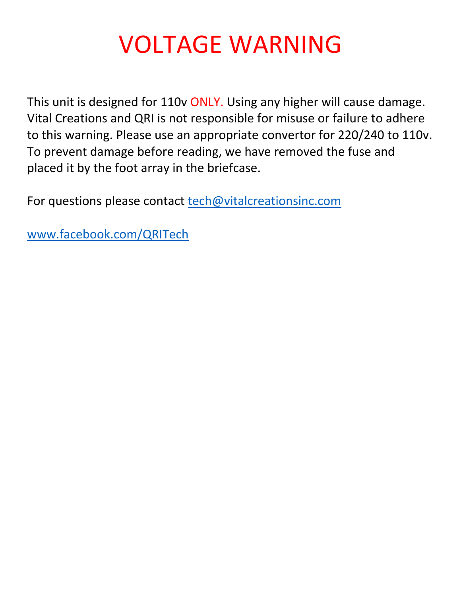# VOLTAGE WARNING

This unit is designed for 110v ONLY. Using any higher will cause damage. Vital Creations and QRI is not responsible for misuse or failure to adhere to this warning. Please use an appropriate convertor for 220/240 to 110v. To prevent damage before reading, we have removed the fuse and placed it by the foot array in the briefcase.

For questions please contact [tech@vitalcreationsinc.com](mailto:tech@vitalcreationsinc.com)

[www.facebook.com/QRITech](http://www.facebook.com/QRITech)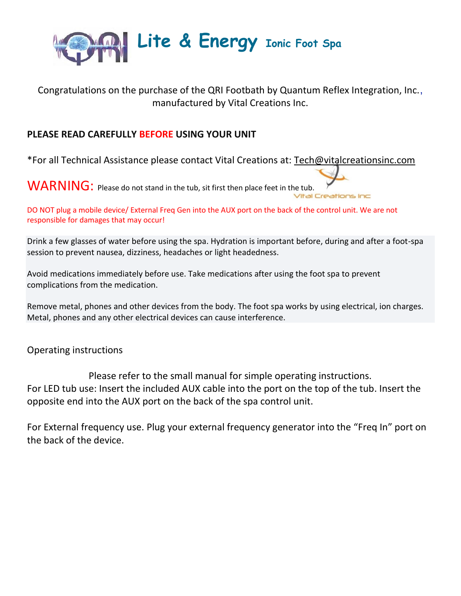

## Congratulations on the purchase of the QRI Footbath by Quantum Reflex Integration, Inc., manufactured by Vital Creations Inc.

### **PLEASE READ CAREFULLY BEFORE USING YOUR UNIT**

\*For all Technical Assistance please contact Vital Creations at: [Tech@vitalcreationsinc.com](mailto:Tech@vitalcreationsinc.com)

WARNING: Please do not stand in the tub, sit first then place feet in the tub.

DO NOT plug a mobile device/ External Freq Gen into the AUX port on the back of the control unit. We are not responsible for damages that may occur!

Drink a few glasses of water before using the spa. Hydration is important before, during and after a foot-spa session to prevent nausea, dizziness, headaches or light headedness.

Avoid medications immediately before use. Take medications after using the foot spa to prevent complications from the medication.

Remove metal, phones and other devices from the body. The foot spa works by using electrical, ion charges. Metal, phones and any other electrical devices can cause interference.

Operating instructions

Please refer to the small manual for simple operating instructions. For LED tub use: Insert the included AUX cable into the port on the top of the tub. Insert the opposite end into the AUX port on the back of the spa control unit.

For External frequency use. Plug your external frequency generator into the "Freq In" port on the back of the device.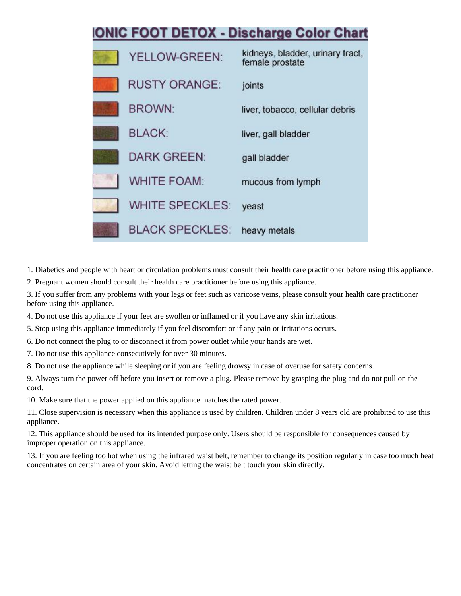

1. Diabetics and people with heart or circulation problems must consult their health care practitioner before using this appliance.

2. Pregnant women should consult their health care practitioner before using this appliance.

3. If you suffer from any problems with your legs or feet such as varicose veins, please consult your health care practitioner before using this appliance.

4. Do not use this appliance if your feet are swollen or inflamed or if you have any skin irritations.

5. Stop using this appliance immediately if you feel discomfort or if any pain or irritations occurs.

6. Do not connect the plug to or disconnect it from power outlet while your hands are wet.

7. Do not use this appliance consecutively for over 30 minutes.

8. Do not use the appliance while sleeping or if you are feeling drowsy in case of overuse for safety concerns.

9. Always turn the power off before you insert or remove a plug. Please remove by grasping the plug and do not pull on the cord.

10. Make sure that the power applied on this appliance matches the rated power.

11. Close supervision is necessary when this appliance is used by children. Children under 8 years old are prohibited to use this appliance.

12. This appliance should be used for its intended purpose only. Users should be responsible for consequences caused by improper operation on this appliance.

13. If you are feeling too hot when using the infrared waist belt, remember to change its position regularly in case too much heat concentrates on certain area of your skin. Avoid letting the waist belt touch your skin directly.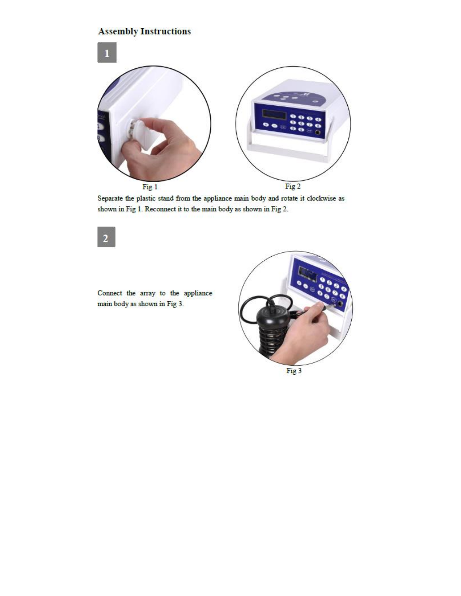## **Assembly Instructions**



Separate the plastic stand from the appliance main body and rotate it clockwise as shown in Fig 1. Reconnect it to the main body as shown in Fig 2.

Connect the array to the appliance main body as shown in Fig 3.

 $\overline{\mathbf{2}}$ 

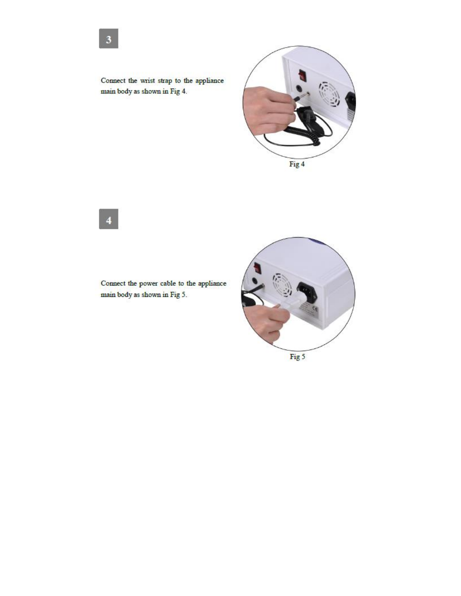

Connect the wrist strap to the appliance main body as shown in Fig 4.



Connect the power cable to the appliance main body as shown in Fig 5.

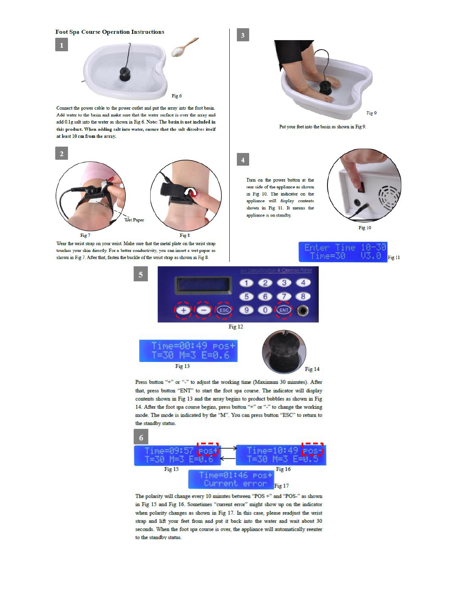**Foot Spa Course Operation Instructions** Fig 6

Connect the power cable to the power outlet and put the array into the foot basin. Add water to the basin and make sure that the water surface is over the array and add 0.1g salt into the water as shown in Fig 6. Note: The basin is not included in this product. When adding salt into water, ensure that the salt dissolves itself at least 10 cm from the array.



Wear the wrist strap on your wrist. Make sure that the metal plate on the wrist strap touches your skin directly. For a better conductivity, you can insert a wet paper as shown in Fig 7. After that, fasten the buckle of the wrist strap as shown in Fig 8.



Put your feet into the basin as shown in Fig 9.

 $\overline{A}$ 

 $\overline{\mathbf{3}}$ 

Turn on the power button at the rear side of the appliance as shown in Fig 10. The indicator on the appliance will display contents shown in Fig 11. It means the appliance is on standby.







Press button "+" or "-" to adjust the working time (Maximum 30 minutes). After that, press button "ENT" to start the foot spa course. The indicator will display contents shown in Fig 13 and the array begins to product bubbles as shown in Fig 14. After the foot spa course begins, press button "+" or "-" to change the working mode. The mode is indicated by the "M". You can press button "ESC" to return to the standby status.



The polarity will change every 10 minutes between "POS  $\mathrm{+}^n$  and "POS-" as shown in Fig 15 and Fig 16. Sometimes "current error" might show up on the indicator when polarity changes as shown in Fig 17. In this case, please readjust the wrist strap and lift your feet from and put it back into the water and wait about 30 seconds. When the foot spa course is over, the appliance will automatically reenter to the standby status.